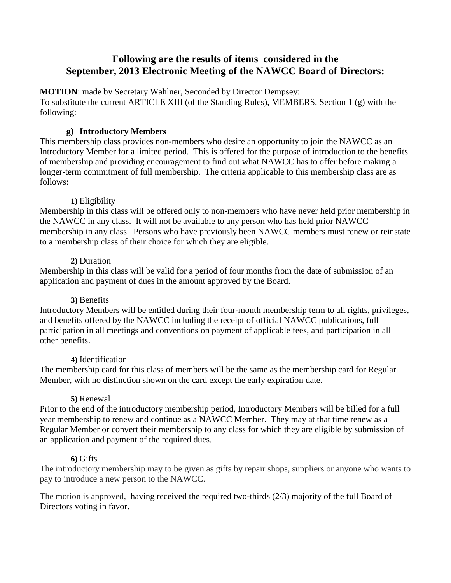# **Following are the results of items considered in the September, 2013 Electronic Meeting of the NAWCC Board of Directors:**

**MOTION**: made by Secretary Wahlner, Seconded by Director Dempsey: To substitute the current ARTICLE XIII (of the Standing Rules), MEMBERS, Section 1 (g) with the following:

## **g) Introductory Members**

This membership class provides non-members who desire an opportunity to join the NAWCC as an Introductory Member for a limited period. This is offered for the purpose of introduction to the benefits of membership and providing encouragement to find out what NAWCC has to offer before making a longer-term commitment of full membership. The criteria applicable to this membership class are as follows:

## **1)** Eligibility

Membership in this class will be offered only to non-members who have never held prior membership in the NAWCC in any class. It will not be available to any person who has held prior NAWCC membership in any class. Persons who have previously been NAWCC members must renew or reinstate to a membership class of their choice for which they are eligible.

## **2)** Duration

Membership in this class will be valid for a period of four months from the date of submission of an application and payment of dues in the amount approved by the Board.

## **3)** Benefits

Introductory Members will be entitled during their four-month membership term to all rights, privileges, and benefits offered by the NAWCC including the receipt of official NAWCC publications, full participation in all meetings and conventions on payment of applicable fees, and participation in all other benefits.

## **4)** Identification

The membership card for this class of members will be the same as the membership card for Regular Member, with no distinction shown on the card except the early expiration date.

## **5)** Renewal

Prior to the end of the introductory membership period, Introductory Members will be billed for a full year membership to renew and continue as a NAWCC Member. They may at that time renew as a Regular Member or convert their membership to any class for which they are eligible by submission of an application and payment of the required dues.

## **6)** Gifts

The introductory membership may to be given as gifts by repair shops, suppliers or anyone who wants to pay to introduce a new person to the NAWCC.

The motion is approved, having received the required two-thirds (2/3) majority of the full Board of Directors voting in favor.